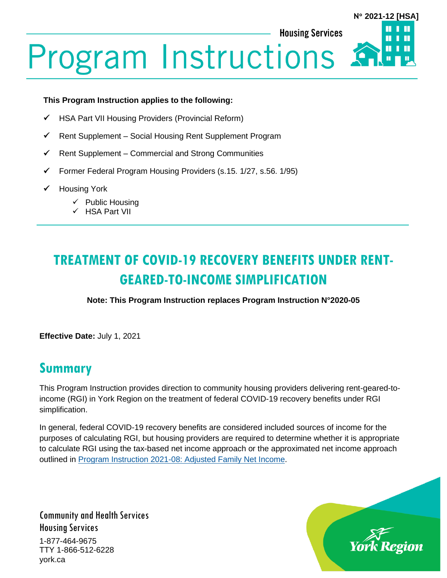**Housing Services** 

# **N 2021-12 [HSA]**

# **Program Instructions**

#### **This Program Instruction applies to the following:**

- ✓ HSA Part VII Housing Providers (Provincial Reform)
- ✓ Rent Supplement Social Housing Rent Supplement Program
- $\checkmark$  Rent Supplement Commercial and Strong Communities
- ✓ Former Federal Program Housing Providers (s.15. 1/27, s.56. 1/95)
- ✓ Housing York
	- ✓ Public Housing
	- ✓ HSA Part VII

# **TREATMENT OF COVID-19 RECOVERY BENEFITS UNDER RENT-GEARED-TO-INCOME SIMPLIFICATION**

**Note: This Program Instruction replaces Program Instruction N°2020-05**

**Effective Date:** July 1, 2021

### **Summary**

This Program Instruction provides direction to community housing providers delivering rent-geared-toincome (RGI) in York Region on the treatment of federal COVID-19 recovery benefits under RGI simplification.

In general, federal COVID-19 recovery benefits are considered included sources of income for the purposes of calculating RGI, but housing providers are required to determine whether it is appropriate to calculate RGI using the tax-based net income approach or the approximated net income approach outlined in [Program Instruction 2021-08: Adjusted Family Net Income.](https://www.york.ca/wps/wcm/connect/yorkpublic/e7376716-2f09-4a38-9bc5-1ce7bdcb2650/PI-2021-08-Adjusted-Family-Net-Income.pdf?MOD=AJPERES&CVID=nC5fIh9)

Community and Health Services Housing Services 1-877-464-9675 TTY 1-866-512-6228 york.ca

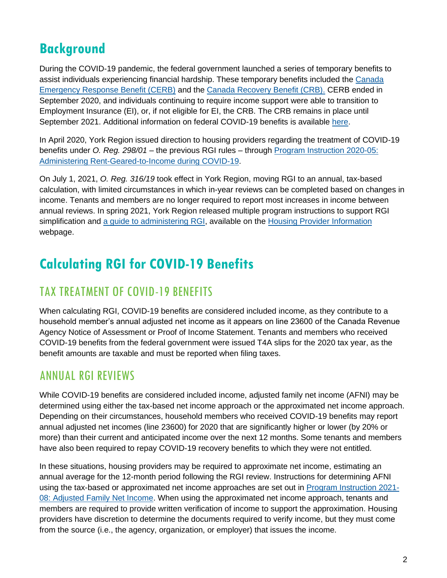## **Background**

During the COVID-19 pandemic, the federal government launched a series of temporary benefits to assist individuals experiencing financial hardship. These temporary benefits included the [Canada](https://www.canada.ca/en/services/benefits/ei/cerb-application.html)  [Emergency Response Benefit \(CERB\)](https://www.canada.ca/en/services/benefits/ei/cerb-application.html) and the [Canada Recovery Benefit \(CRB\).](https://www.canada.ca/en/revenue-agency/services/benefits/recovery-benefit.html) CERB ended in September 2020, and individuals continuing to require income support were able to transition to Employment Insurance (EI), or, if not eligible for EI, the CRB. The CRB remains in place until September 2021. Additional information on federal COVID-19 benefits is available [here.](https://www.canada.ca/en/services/benefits/covid19-emergency-benefits.html)

In April 2020, York Region issued direction to housing providers regarding the treatment of COVID-19 benefits under *O. Reg. 298/01* – the previous RGI rules – through [Program Instruction 2020-05:](https://www.york.ca/wps/wcm/connect/yorkpublic/53855bd2-15e3-4c60-99f8-3176c18a5e22/PI+2020-05+Administering+RGI+during+COVID-19+HSA.pdf?MOD=AJPERES&CVID=nCP98n3)  [Administering Rent-Geared-to-Income during COVID-19.](https://www.york.ca/wps/wcm/connect/yorkpublic/53855bd2-15e3-4c60-99f8-3176c18a5e22/PI+2020-05+Administering+RGI+during+COVID-19+HSA.pdf?MOD=AJPERES&CVID=nCP98n3)

On July 1, 2021, *O. Reg. 316/19* took effect in York Region, moving RGI to an annual, tax-based calculation, with limited circumstances in which in-year reviews can be completed based on changes in income. Tenants and members are no longer required to report most increases in income between annual reviews. In spring 2021, York Region released multiple program instructions to support RGI simplification and [a guide to administering RGI,](https://www.york.ca/wps/wcm/connect/yorkpublic/268b2aa9-9373-45a2-b126-f003a7803cfc/York-Region-Rent-Geared-to-Income-RGI-Guide.pdf?MOD=AJPERES&CACHEID=ROOTWORKSPACE.Z18_29D41BG0PGOC70QQGGJK4I0004-268b2aa9-9373-45a2-b126-f003a7803cfc-nDnBvIL) available on the [Housing Provider Information](https://www.york.ca/wps/portal/yorkhome/support/yr/housing/informationforhousingproviders/informationforhousingproviders/!ut/p/z1/xZJLU8IwFIV_iwuWnXubpk1cxoq0BQQHEdoNUyqWKH1YAj5-vSmDS6mOduwmvcnJSe6XAxHMIcrjvUxjJYs83ug6jJyFL3q-5_UxGFHuosCRCAjj2B0wmB0E-MUnEKLv7D8hiE7b30EEUZnIewhp4ixx6ViGw2xm0HNCjDihxHiwGEW-JJw7WKuTXJVqDeFbtUiKXK1y1cG3onrSxVZJtTtMrIts1cHtriyL6lDutjJPOyjzh6LKDnj0z3G6rIq9vF9V26Z1CJp4aOCkGrrDVHcVq7VR-8H86APzBvvGdQjl4_NzJDSFuvVXBfP_wDCr30GDIIQ6nuligN6Io3_FxvYl90y8oQ2CPjkKTkQj1NFiX7E2-xRme7l6gWle33QDkx8myfs8gXFXeKKHY7ydMrzpMsqdwXA8YOSXJzQ04LRrb7drz1q1d2m79n8DJ_DRNYW271ldCwXxXX5hBfyame3evl32k3aTM2k395Pfwimz6TTjlr1JuTr3H-00W1xeXBthsH8_OQzF2dkHvDXwQg!!/dz/d5/L2dBISEvZ0FBIS9nQSEh/#.YOWQvUlKg2x) webpage.

## **Calculating RGI for COVID-19 Benefits**

#### TAX TREATMENT OF COVID-19 BENEFITS

When calculating RGI, COVID-19 benefits are considered included income, as they contribute to a household member's annual adjusted net income as it appears on line 23600 of the Canada Revenue Agency Notice of Assessment or Proof of Income Statement. Tenants and members who received COVID-19 benefits from the federal government were issued T4A slips for the 2020 tax year, as the benefit amounts are taxable and must be reported when filing taxes.

#### ANNUAL RGI REVIEWS

While COVID-19 benefits are considered included income, adjusted family net income (AFNI) may be determined using either the tax-based net income approach or the approximated net income approach. Depending on their circumstances, household members who received COVID-19 benefits may report annual adjusted net incomes (line 23600) for 2020 that are significantly higher or lower (by 20% or more) than their current and anticipated income over the next 12 months. Some tenants and members have also been required to repay COVID-19 recovery benefits to which they were not entitled.

In these situations, housing providers may be required to approximate net income, estimating an annual average for the 12-month period following the RGI review. Instructions for determining AFNI using the tax-based or approximated net income approaches are set out in [Program Instruction 2021-](https://www.york.ca/wps/wcm/connect/yorkpublic/e7376716-2f09-4a38-9bc5-1ce7bdcb2650/PI-2021-08-Adjusted-Family-Net-Income.pdf?MOD=AJPERES&CVID=nC5fIh9) [08: Adjusted Family Net Income.](https://www.york.ca/wps/wcm/connect/yorkpublic/e7376716-2f09-4a38-9bc5-1ce7bdcb2650/PI-2021-08-Adjusted-Family-Net-Income.pdf?MOD=AJPERES&CVID=nC5fIh9) When using the approximated net income approach, tenants and members are required to provide written verification of income to support the approximation. Housing providers have discretion to determine the documents required to verify income, but they must come from the source (i.e., the agency, organization, or employer) that issues the income.